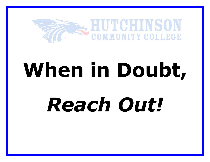

# **When in Doubt,**  *Reach Out!*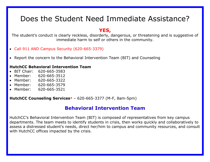# Does the Student Need Immediate Assistance?

# **YES,**

The student's conduct is clearly reckless, disorderly, dangerous, or threatening and is suggestive of immediate harm to self or others in the community.

- Call 911 AND Campus Security (620-665-3379)
- Report the concern to the Behavioral Intervention Team (BIT) and Counseling

#### **HutchCC Behavioral Intervention Team**

- BIT Chair: 620-665-3583
- Member: 620-665-3512
- Member: 620-665-3322
- Member: 620-665-3579
- Member: 620-665-3521

**[HutchCC Counseling Services\\*](http://www.hutchcc.edu/administration/student-success-center/personal-counseling)** – 620-665-3377 (M-F, 8am-5pm)

# **Behavioral Intervention Team**

HutchCC's Behavioral Intervention Team (BIT) is composed of representatives from key campus departments. The team meets to identify students in crisis, then works quickly and collaboratively to assess a distressed student's needs, direct her/him to campus and community resources, and consult with HutchCC offices impacted by the crisis.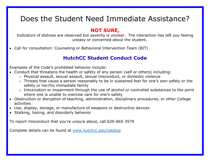# Does the Student Need Immediate Assistance?

# **NOT SURE,**

Indicators of distress are observed but severity is unclear. The interaction has left you feeling uneasy or concerned about the student.

• Call for consultation: Counseling or Behavioral Intervention Team (BIT)

# **HutchCC Student Conduct Code**

Examples of the Code's prohibited behavior include:

- Conduct that threatens the health or safety of any person (self or others) including:
	- o Physical assault, sexual assault, sexual misconduct, or domestic violence
	- o Threats that cause a person reasonably to be in sustained fear for one's own safety or the safety or her/his immediate family
	- o Intoxication or impairment through the use of alcohol or controlled substances to the point where one is unable to exercise care for one's safety
- Obstruction or disruption of teaching, administration, disciplinary procedures, or other College activities
- Use, display, storage, or manufacture of weapons or destructive devices
- Stalking, hazing, and disorderly behavior

To report misconduct that you're unsure about, call 620-665-3579

Complete details can be found at [www.hutchcc.edu/catalog](http://www.hutchcc.edu/catalog)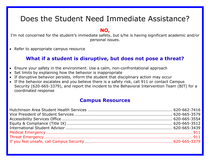# Does the Student Need Immediate Assistance?

# **NO,**

I'm not concerned for the student's immediate safety, but s/he is having significant academic and/or personal issues.

• Refer to appropriate campus resource

# **What if a student is disruptive, but does not pose a threat?**

- Ensure your safety in the environment. Use a calm, non-confrontational approach
- Set limits by explaining how the behavior is inappropriate
- If disruptive behavior persists, inform the student that disciplinary action may occur
- If the behavior escalates and you believe there is a safety risk, call 911 or contact Campus Security (620-665-3379), and report the incident to the Behavioral Intervention Team (BIT) for a coordinated response

# **Campus Resources**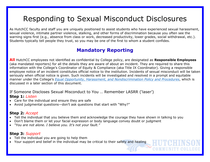# Responding to Sexual Misconduct Disclosures

As HutchCC faculty and staff you are uniquely positioned to assist students who have experienced sexual harassment, sexual violence, intimate partner violence, stalking, and other forms of discrimination because you often see the warning signs first (e.g., absence from class or work, decreased productivity, lower grades, social withdrawal, etc.). Students typically tell people they trust, so you may be one of the first to whom a student confides.

# **Mandatory Reporting**

**All** HutchCC employees not identified as confidential by College policy, are designated as **Responsible Employees** (aka mandated reporters) for all the details they are aware of about an incident. They are required to share this information with the College's Coordinator of Equity & Compliance (aka Title IX Coordinator). Giving a responsible employee notice of an incident constitutes official notice to the institution. Incidents of sexual misconduct will be taken seriously when official notice is given. Such incidents will be investigated and resolved in a prompt and equitable manner under the College's *[Equal Opportunity, Harassment, and Nondiscrimination Policy and Procedures](http://www.hutchcc.edu/equity)*, which is discussed in a later section of this document.

If Someone Discloses Sexual Misconduct to You … Remember LASRR ('laser') **Step 1:** *Listen*

- Care for the individual and ensure they are safe
- Avoid judgmental questions—don't ask questions that start with "Why?"

# **Step 2:** *Accept*

- Tell the individual that you believe them and acknowledge the courage they have shown in talking to you
- Don't blame them or let your facial expression or body language convey doubt or judgment
- *"You are not alone. I believe you. It's not your fault."*

# **Step 3:** *Support*

- Tell the individual you are going to help them
- Your support and belief in the individual may be critical to their safety and healing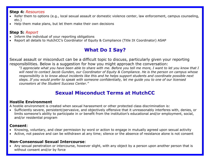#### **Step 4:** *Resources*

- Refer them to options (e.g., local sexual assault or domestic violence center, law enforcement, campus counseling, etc.)
- Help them make plans, but let them make their own decisions

# **Step 5:** *Report*

- Inform the individual of your reporting obligations
- Report all details to HutchCC's Coordinator of Equity & Compliance (Title IX Coordinator) ASAP

# **What Do I Say?**

Sexual assault or misconduct can be a difficult topic to discuss, particularly given your reporting responsibilities. Below is a suggestion for how you might approach the conversation:

*"I appreciate what you have been able to share with me. Before you tell me more, I want to let you know that I will need to contact Jacob Gunden, our Coordinator of Equity & Compliance. He is the person on campus whose responsibility is to know about incidents like this and he helps support students and coordinate possible next steps. If you would prefer to speak with someone confidentially, let me guide you to one of our licensed counselors at the Student Success Center."*

# **Sexual Misconduct Terms at HutchCC**

# **Hostile Environment**

A hostile environment is created when sexual harassment or other protected class discrimination is:

• Sufficiently severe, persistent/pervasive, and objectively offensive that it unreasonably interferes with, denies, or limits someone's ability to participate in or benefit from the institution's educational and/or employment, social, and/or residential program

# **Consent**:

- Knowing, voluntary, and clear permission by word or action to engage in mutually agreed upon sexual activity
- Active, not passive and can be withdrawn at any time; silence or the absence of resistance alone is not consent

# **Non-Consensual Sexual Intercourse**:

• Any sexual penetration or intercourse, however slight, with any object by a person upon another person that is without consent and/or by force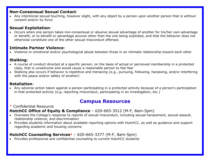#### **Non-Consensual Sexual Contact**:

• Any intentional sexual touching, however slight, with any object by a person upon another person that is without consent and/or by force

# **Sexual Exploitation**:

• Occurs when one person takes non-consensual or abusive sexual advantage of another for his/her own advantage or benefit, or to benefit or advantage anyone other than the one being exploited, and that the behavior does not otherwise constitute one of the other sexual misconduct offenses

#### **Intimate Partner Violence**:

• Violence or emotional and/or psychological abuse between those in an intimate relationship toward each other

# **Stalking**:

- A course of conduct directed at a specific person, on the basis of actual or perceived membership in a protected class, that is unwelcome and would cause a reasonable person to feel fear
- Stalking also occurs if behavior is repetitive and menacing (e.g., pursuing, following, harassing, and/or interfering with the peace and/or safety of another)

# **Retaliation**:

• Any adverse action taken against a person participating in a protected activity because of a person's participation in that protected activity (e.g. reporting misconduct, participating in an investigation, etc.)

# **Campus Resources**

# \* Confidential Resource

# **[HutchCC Office of Equity & Compliance](http://www.hutchcc.edu/administration/campus-safety-and-compliance/)** – 620-665-3512 (M-F, 8am-5pm)

- Oversees the College's response to reports of sexual misconduct, including sexual harassment, sexual assault, relationship violence, and discrimination
- Provides students information about available reporting options with HutchCC, as well as guidance and support regarding academic and housing concerns

# **[HutchCC Counseling Services\\*](http://www.hutchcc.edu/administration/student-success-center/personal-counseling)** – 620-665-3377 (M-F, 8am-5pm)

• Provides professional and confidential counseling to current HutchCC students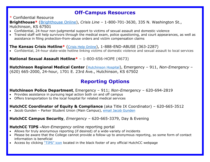# **Off-Campus Resources**

#### \* Confidential Resource

#### **Brighthouse\*** [\(Brighthouse Online\)](http://www.brighthouseks.org/), *Crisis Line* – 1-800-701-3630, 335 N. Washington St., Hutchinson, KS 67501

- Confidential, 24-hour non-judgmental support to victims of sexual assault and domestic violence
- Trained staff will help survivors through the medical exam, police questioning, and court appearances, as well as assistance in filing protection-from-abuse orders and victim compensation claims

#### **[The Kansas Crisis Hotline\\*](http://www.kcsdv.org/)** [\(Crisis Help Online\)](http://www.kcsdv.org/), 1-888-END-ABUSE (363-2287)

• Confidential, 24-hour state-wide hotline linking victims of domestic violence and sexual assault to local services

#### **National Sexual Assault Hotline\*** – 1-800-656-HOPE (4673)

**[Hutchinson Regional Medical Center](http://www.hutchregional.com/)** [\(Hutchinson Hospital\)](http://www.hutchregional.com/), Emergency - 911, *Non-Emergency* -(620) 665-2000, 24-hour, 1701 E. 23rd Ave., Hutchinson, KS 67502

# **Reporting Options**

#### **Hutchinson Police Department**, Emergency – 911; *Non-Emergency* – 620-694-2819

- Provides assistance in pursuing legal action both on and off campus
- Offers transportation to the local hospital for related medical services

# **HutchCC Coordinator of Equity & Compliance** (aka Title IX Coordinator) – 620-665-3512

• Jacob Gunden – Parker Student Union (Main Campus), [email Jacob Gunden](mailto:gundenj@hutchcc.edu)

# **HutchCC Campus Security**, *Emergency* – 620-665-3379, Day & Evening

#### **HutchCC TIPS –***Non-Emergency* online reporting portal

- Allows for truly anonymous reporting (if desired) of a wide-variety of incidents
- Please be aware that the College cannot provide a follow-up to anonymous reporting, so some form of contact information is beneficial
- Access by clicking ["TIPS" icon](http://tinyurl.com/www-tipsforhutchcc-com) located in the black footer of any official HutchCC webpage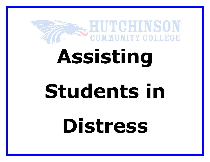

# **Assisting**

# **Students in**

**Distress**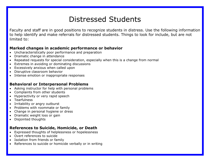# Distressed Students

Faculty and staff are in good positions to recognize students in distress. Use the following information to help identify and make referrals for distressed students. Things to look for include, but are not limited to:

#### **Marked changes in academic performance or behavior**

- Uncharacteristically poor performance and preparation
- Dramatic change in attendance
- Repeated requests for special consideration, especially when this is a change from normal
- Extremes in avoiding or dominating discussions
- Excessively anxious when called upon
- Disruptive classroom behavior
- Intense emotion or inappropriate responses

# **Behavioral or Interpersonal Problems**

- Asking instructor for help with personal problems
- Complaints from other students
- Hyperactivity or very rapid speech
- Tearfulness
- Irritability or angry outburst
- Problems with roommate or family
- Change in personal hygiene or dress
- Dramatic weight loss or gain
- Disjointed thoughts

# **References to Suicide, Homicide, or Death**

- Expressed thoughts of helplessness or hopelessness
- Overt references to suicide
- Isolation from friends or family
- References to suicide or homicide verbally or in writing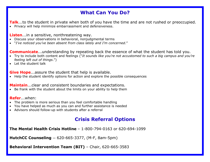# **What Can You Do?**

**Talk**...to the student in private when both of you have the time and are not rushed or preoccupied.

• Privacy will help minimize embarrassment and defensiveness.

#### **Listen**...in a sensitive, nonthreatening way.

- Discuss your observations in behavioral, nonjudgmental terms
- "*I've noticed you've been absent from class lately and I'm concerned*."

### **Communicate**...understanding by repeating back the essence of what the student has told you.

- Try to include both content and feelings ("*It sounds like you're not accustomed to such a big campus and you're feeling left out of things*.")
- Let the student talk

**Give Hope**...assure the student that help is available.

• Help the student identify options for action and explore the possible consequences

**Maintain**...clear and consistent boundaries and expectations.

• Be frank with the student about the limits on your ability to help them

#### **Refer**...when:

- The problem is more serious than you feel comfortable handling
- You have helped as much as you can and further assistance is needed
- Advisors should follow-up with students after a referral

# **Crisis Referral Options**

**The Mental Health Crisis Hotline** – 1-800-794-0163 or 620-694-1099

**HutchCC Counseling** — 620-665-3377, (M-F, 8am-5pm)

**Behavioral Intervention Team (BIT)** – Chair, 620-665-3583